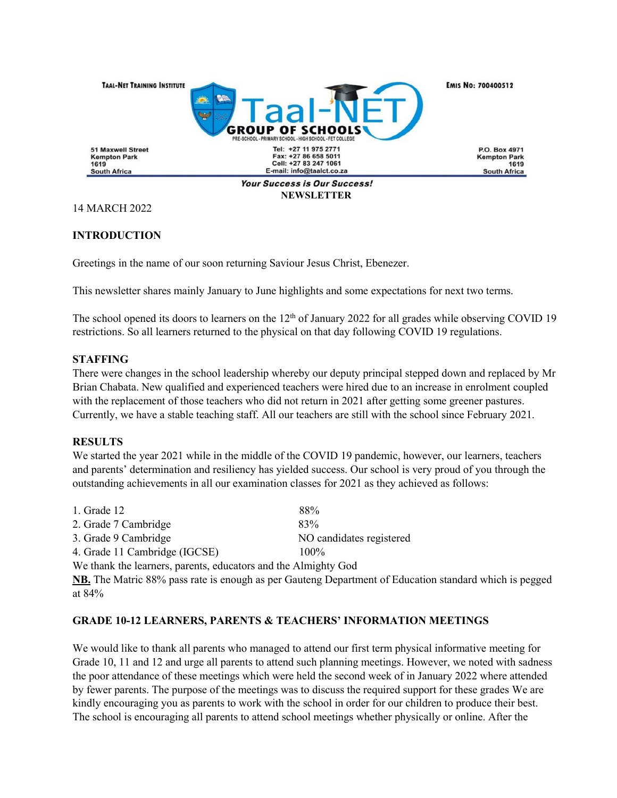

14 MARCH 2022

## **INTRODUCTION**

Greetings in the name of our soon returning Saviour Jesus Christ, Ebenezer.

This newsletter shares mainly January to June highlights and some expectations for next two terms.

The school opened its doors to learners on the  $12<sup>th</sup>$  of January 2022 for all grades while observing COVID 19 restrictions. So all learners returned to the physical on that day following COVID 19 regulations.

### **STAFFING**

There were changes in the school leadership whereby our deputy principal stepped down and replaced by Mr Brian Chabata. New qualified and experienced teachers were hired due to an increase in enrolment coupled with the replacement of those teachers who did not return in 2021 after getting some greener pastures. Currently, we have a stable teaching staff. All our teachers are still with the school since February 2021.

#### **RESULTS**

We started the year 2021 while in the middle of the COVID 19 pandemic, however, our learners, teachers and parents' determination and resiliency has yielded success. Our school is very proud of you through the outstanding achievements in all our examination classes for 2021 as they achieved as follows:

| 1. Grade 12                                                    | 88%                      |
|----------------------------------------------------------------|--------------------------|
| 2. Grade 7 Cambridge                                           | 83%                      |
| 3. Grade 9 Cambridge                                           | NO candidates registered |
| 4. Grade 11 Cambridge (IGCSE)                                  | $100\%$                  |
| We thank the learners, parents, educators and the Almighty God |                          |

**NB.** The Matric 88% pass rate is enough as per Gauteng Department of Education standard which is pegged at 84%

## **GRADE 10-12 LEARNERS, PARENTS & TEACHERS' INFORMATION MEETINGS**

We would like to thank all parents who managed to attend our first term physical informative meeting for Grade 10, 11 and 12 and urge all parents to attend such planning meetings. However, we noted with sadness the poor attendance of these meetings which were held the second week of in January 2022 where attended by fewer parents. The purpose of the meetings was to discuss the required support for these grades We are kindly encouraging you as parents to work with the school in order for our children to produce their best. The school is encouraging all parents to attend school meetings whether physically or online. After the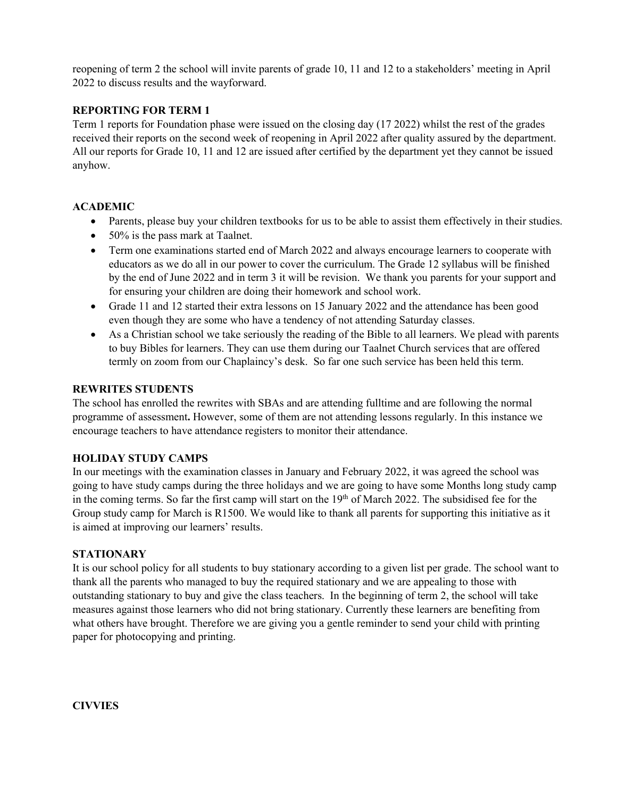reopening of term 2 the school will invite parents of grade 10, 11 and 12 to a stakeholders' meeting in April 2022 to discuss results and the wayforward.

## **REPORTING FOR TERM 1**

Term 1 reports for Foundation phase were issued on the closing day (17 2022) whilst the rest of the grades received their reports on the second week of reopening in April 2022 after quality assured by the department. All our reports for Grade 10, 11 and 12 are issued after certified by the department yet they cannot be issued anyhow.

#### **ACADEMIC**

- Parents, please buy your children textbooks for us to be able to assist them effectively in their studies.
- 50% is the pass mark at Taalnet.
- Term one examinations started end of March 2022 and always encourage learners to cooperate with educators as we do all in our power to cover the curriculum. The Grade 12 syllabus will be finished by the end of June 2022 and in term 3 it will be revision. We thank you parents for your support and for ensuring your children are doing their homework and school work.
- Grade 11 and 12 started their extra lessons on 15 January 2022 and the attendance has been good even though they are some who have a tendency of not attending Saturday classes.
- As a Christian school we take seriously the reading of the Bible to all learners. We plead with parents to buy Bibles for learners. They can use them during our Taalnet Church services that are offered termly on zoom from our Chaplaincy's desk. So far one such service has been held this term.

#### **REWRITES STUDENTS**

The school has enrolled the rewrites with SBAs and are attending fulltime and are following the normal programme of assessment**.** However, some of them are not attending lessons regularly. In this instance we encourage teachers to have attendance registers to monitor their attendance.

#### **HOLIDAY STUDY CAMPS**

In our meetings with the examination classes in January and February 2022, it was agreed the schoolwas going to have study camps during the three holidays and we are going to have some Months long study camp in the coming terms. So far the first camp will start on the 19<sup>th</sup> of March 2022. The subsidised fee for the Group study camp for March is R1500. We would like to thank all parents for supporting this initiative as it is aimed at improving our learners' results.

#### **STATIONARY**

It is our school policy for all students to buy stationary according to a given list per grade. The school want to thank all the parents who managed to buy the required stationary and we are appealing to those with outstanding stationary to buy and give the class teachers. In the beginning of term 2, the school will take measures against those learners who did not bring stationary. Currently these learners are benefiting from what others have brought. Therefore we are giving you a gentle reminder to send your child with printing paper for photocopying and printing.

**CIVVIES**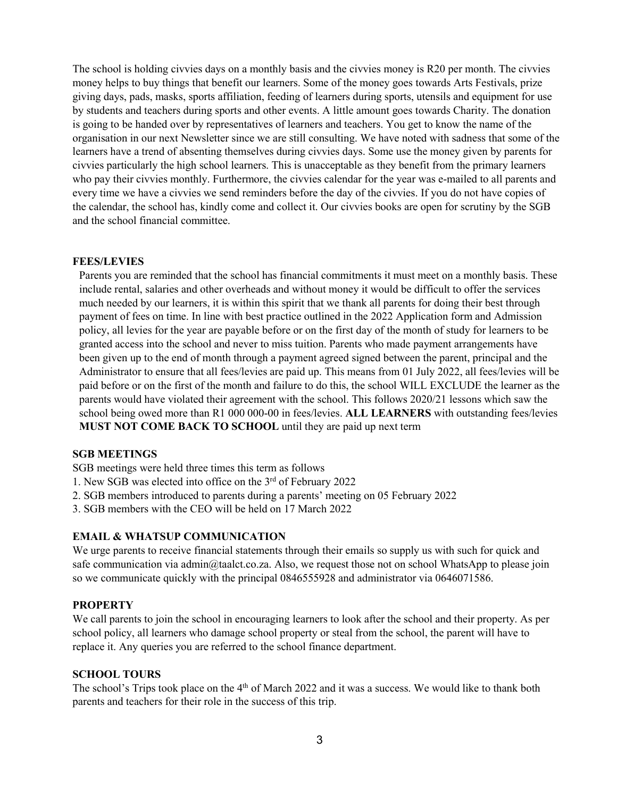The school is holding civvies days on a monthly basis and the civvies money is R20 per month. The civvies money helps to buy things that benefit our learners. Some of the money goes towards Arts Festivals, prize giving days, pads, masks, sports affiliation, feeding of learners during sports, utensils and equipment for use by students and teachers during sports and other events. A little amount goes towards Charity. The donation is going to be handed over by representatives of learners and teachers. You get to know the name of the organisation in our next Newsletter since we are still consulting. We have noted with sadness that some of the learners have a trend of absenting themselves during civvies days. Some use the money given by parents for civvies particularly the high school learners. This is unacceptable as they benefit from the primary learners who pay their civvies monthly. Furthermore, the civvies calendar for the year was e-mailed to all parents and every time we have a civvies we send reminders before the day of the civvies. If you do not have copies of the calendar, the school has, kindly come and collect it. Our civvies books are open for scrutiny by the SGB and the school financial committee.

#### **FEES/LEVIES**

Parents you are reminded that the school has financial commitments it must meet on a monthly basis. These include rental, salaries and other overheads and without money it would be difficult to offer the services much needed by our learners, it is within this spirit that we thank all parents for doing their best through payment of fees on time. In line with best practice outlined in the 2022 Application form and Admission policy, all levies for the year are payable before or on the first day of the month of study for learners to be granted access into the school and never to misstuition. Parents who made payment arrangements have been given up to the end of month through a payment agreed signed between the parent, principal and the Administrator to ensure that all fees/levies are paid up. This means from 01 July 2022, all fees/levies will be paid before or on the first of the month and failure to do this, the school WILL EXCLUDE the learner as the parents would have violated their agreement with the school. This follows 2020/21 lessons which saw the school being owed more than R1 000 000-00 in fees/levies.**ALL LEARNERS** with outstanding fees/levies **MUST NOT COME BACK TO SCHOOL** until they are paid up next term

#### **SGB MEETINGS**

SGB meetings were held three times this term as follows

- 1. New SGB was elected into office on the 3<sup>rd</sup> of February 2022
- 2. SGB members introduced to parents during a parents' meeting on 05 February 2022
- 3. SGB members with the CEO will be held on 17 March 2022

#### **EMAIL & WHATSUP COMMUNICATION**

We urge parents to receive financial statements through their emails so supply us with such for quick and safe communication via admin@taalct.co.za. Also, we request those not on school WhatsApp to please join so we communicate quickly with the principal 0846555928 and administrator via 0646071586.

#### **PROPERTY**

We call parents to join the school in encouraging learners to look after the school and their property. As per school policy, all learners who damage school property or steal from the school, the parent will have to replace it. Any queries you are referred to the school finance department.

#### **SCHOOL TOURS**

The school's Trips took place on the 4<sup>th</sup> of March 2022 and it was a success. We would like to thank both parents and teachers for their role in the success of this trip.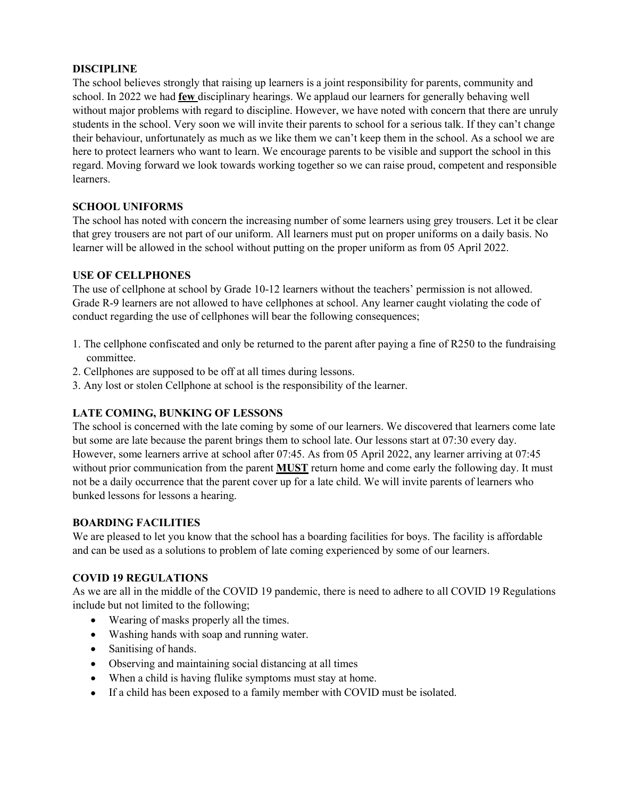## **DISCIPLINE**

The school believes strongly that raising up learners is a joint responsibility for parents, community and school. In 2022 we had **few** disciplinary hearings. We applaud our learners for generally behaving well without major problems with regard to discipline. However, we have noted with concern that there are unruly students in the school. Very soon we will invite their parents to school for a serious talk. If they can't change their behaviour, unfortunately as much as we like them we can't keep them in the school. As a school we are here to protect learners who want to learn. We encourage parents to be visible and support the school in this regard. Moving forward we look towards working together so we can raise proud, competent and responsible learners.

## **SCHOOL UNIFORMS**

The school has noted with concern the increasing number of some learners using grey trousers. Let it be clear that grey trousers are not part of our uniform. All learners must put on proper uniforms on a daily basis. No learner will be allowed in the school without putting on the proper uniform as from 05 April 2022.

## **USE OF CELLPHONES**

The use of cellphone at school by Grade 10-12 learners without the teachers' permission is not allowed. Grade R-9 learners are not allowed to have cellphones at school. Any learner caught violating the code of conduct regarding the use of cellphones will bear the following consequences;

- 1. The cellphone confiscated and only be returned to the parentafter paying a fine of R250 to the fundraising committee.
- 2. Cellphones are supposed to be off at all times during lessons.
- 3. Any lost or stolen Cellphone at school is the responsibility of the learner.

# **LATE COMING, BUNKING OF LESSONS**

The school is concerned with the late coming by some of our learners. We discovered that learners come late but some are late because the parent brings them to school late. Our lessons start at 07:30 every day. However, some learners arrive at school after 07:45. As from 05 April 2022, any learner arriving at 07:45 without prior communication from the parent **MUST** return home and come early the following day. It must not be a daily occurrence that the parent cover up for a late child. We will invite parents of learners who bunked lessons for lessons a hearing.

## **BOARDING FACILITIES**

We are pleased to let you know that the school has a boarding facilities for boys. The facility is affordable and can be used as a solutions to problem of late coming experienced by some of our learners.

# **COVID 19 REGULATIONS**

As we are all in the middle of the COVID 19 pandemic, there is need to adhere to all COVID 19 Regulations include but not limited to the following;

- Wearing of masks properly all the times.
- Washing hands with soap and running water.
- Sanitising of hands.
- Observing and maintaining social distancing at all times
- When a child is having flulike symptoms must stay at home.
- If a child has been exposed to a family member with COVID must be isolated.